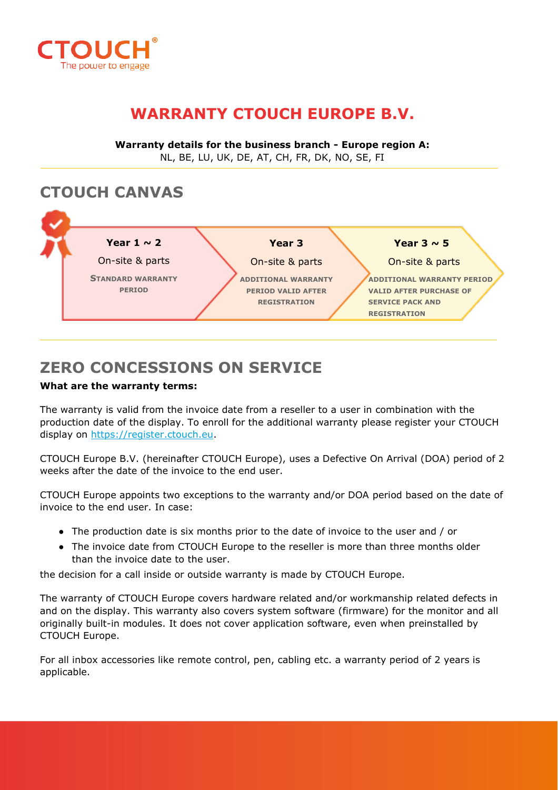

# **WARRANTY CTOUCH EUROPE B.V.**

**Warranty details for the business branch - Europe region A:** NL, BE, LU, UK, DE, AT, CH, FR, DK, NO, SE, FI

### **CTOUCH CANVAS**



## **ZERO CONCESSIONS ON SERVICE**

#### **What are the warranty terms:**

The warranty is valid from the invoice date from a reseller to a user in combination with the production date of the display. To enroll for the additional warranty please register your CTOUCH display on [https://register.ctouch.eu.](https://register.ctouch.eu/)

CTOUCH Europe B.V. (hereinafter CTOUCH Europe), uses a Defective On Arrival (DOA) period of 2 weeks after the date of the invoice to the end user.

CTOUCH Europe appoints two exceptions to the warranty and/or DOA period based on the date of invoice to the end user. In case:

- The production date is six months prior to the date of invoice to the user and / or
- The invoice date from CTOUCH Europe to the reseller is more than three months older than the invoice date to the user.

the decision for a call inside or outside warranty is made by CTOUCH Europe.

The warranty of CTOUCH Europe covers hardware related and/or workmanship related defects in and on the display. This warranty also covers system software (firmware) for the monitor and all originally built-in modules. It does not cover application software, even when preinstalled by CTOUCH Europe.

For all inbox accessories like remote control, pen, cabling etc. a warranty period of 2 years is applicable.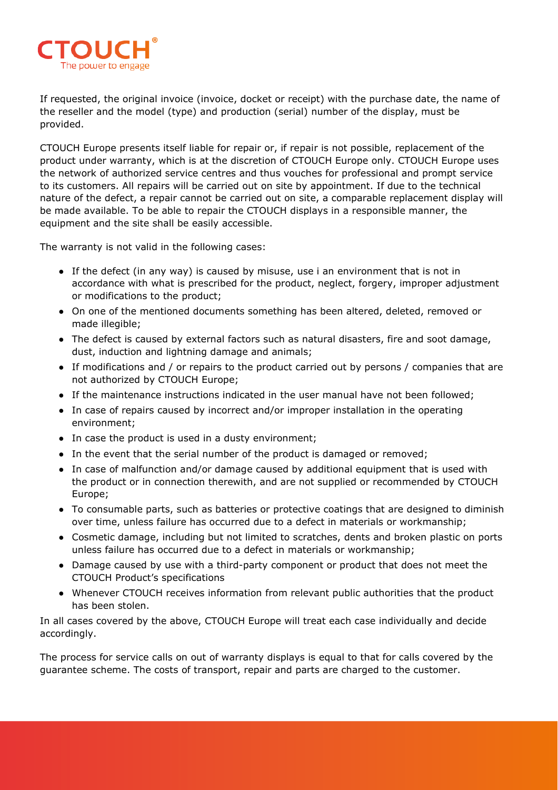

If requested, the original invoice (invoice, docket or receipt) with the purchase date, the name of the reseller and the model (type) and production (serial) number of the display, must be provided.

CTOUCH Europe presents itself liable for repair or, if repair is not possible, replacement of the product under warranty, which is at the discretion of CTOUCH Europe only. CTOUCH Europe uses the network of authorized service centres and thus vouches for professional and prompt service to its customers. All repairs will be carried out on site by appointment. If due to the technical nature of the defect, a repair cannot be carried out on site, a comparable replacement display will be made available. To be able to repair the CTOUCH displays in a responsible manner, the equipment and the site shall be easily accessible.

The warranty is not valid in the following cases:

- If the defect (in any way) is caused by misuse, use i an environment that is not in accordance with what is prescribed for the product, neglect, forgery, improper adjustment or modifications to the product;
- On one of the mentioned documents something has been altered, deleted, removed or made illegible;
- The defect is caused by external factors such as natural disasters, fire and soot damage, dust, induction and lightning damage and animals;
- If modifications and / or repairs to the product carried out by persons / companies that are not authorized by CTOUCH Europe;
- If the maintenance instructions indicated in the user manual have not been followed;
- In case of repairs caused by incorrect and/or improper installation in the operating environment;
- In case the product is used in a dusty environment;
- In the event that the serial number of the product is damaged or removed;
- In case of malfunction and/or damage caused by additional equipment that is used with the product or in connection therewith, and are not supplied or recommended by CTOUCH Europe;
- To consumable parts, such as batteries or protective coatings that are designed to diminish over time, unless failure has occurred due to a defect in materials or workmanship;
- Cosmetic damage, including but not limited to scratches, dents and broken plastic on ports unless failure has occurred due to a defect in materials or workmanship;
- Damage caused by use with a third-party component or product that does not meet the CTOUCH Product's specifications
- Whenever CTOUCH receives information from relevant public authorities that the product has been stolen.

In all cases covered by the above, CTOUCH Europe will treat each case individually and decide accordingly.

The process for service calls on out of warranty displays is equal to that for calls covered by the guarantee scheme. The costs of transport, repair and parts are charged to the customer.